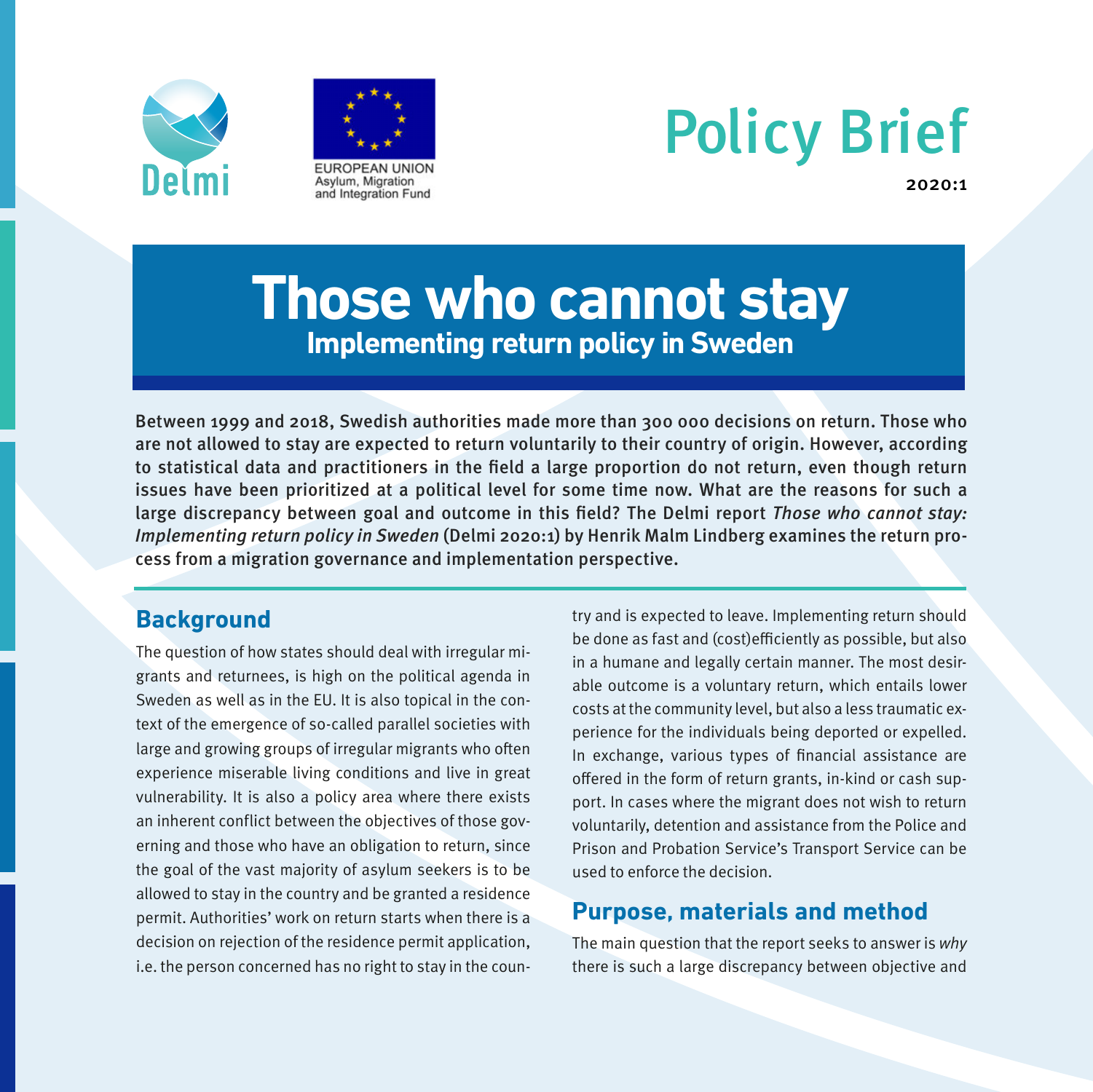



# Policy Brief

2020:1

# **Those who cannot stay Implementing return policy in Sweden**

Between 1999 and 2018, Swedish authorities made more than 300 000 decisions on return. Those who are not allowed to stay are expected to return voluntarily to their country of origin. However, according to statistical data and practitioners in the field a large proportion do not return, even though return issues have been prioritized at a political level for some time now. What are the reasons for such a large discrepancy between goal and outcome in this field? The Delmi report Those who cannot stay: Implementing return policy in Sweden (Delmi 2020:1) by Henrik Malm Lindberg examines the return process from a migration governance and implementation perspective.

# **Background**

The question of how states should deal with irregular migrants and returnees, is high on the political agenda in Sweden as well as in the EU. It is also topical in the context of the emergence of so-called parallel societies with large and growing groups of irregular migrants who often experience miserable living conditions and live in great vulnerability. It is also a policy area where there exists an inherent conflict between the objectives of those governing and those who have an obligation to return, since the goal of the vast majority of asylum seekers is to be allowed to stay in the country and be granted a residence permit. Authorities' work on return starts when there is a decision on rejection of the residence permit application, i.e. the person concerned has no right to stay in the country and is expected to leave. Implementing return should be done as fast and (cost)efficiently as possible, but also in a humane and legally certain manner. The most desirable outcome is a voluntary return, which entails lower costs at the community level, but also a less traumatic experience for the individuals being deported or expelled. In exchange, various types of financial assistance are offered in the form of return grants, in-kind or cash support. In cases where the migrant does not wish to return voluntarily, detention and assistance from the Police and Prison and Probation Service's Transport Service can be used to enforce the decision.

# **Purpose, materials and method**

The main question that the report seeks to answer is why there is such a large discrepancy between objective and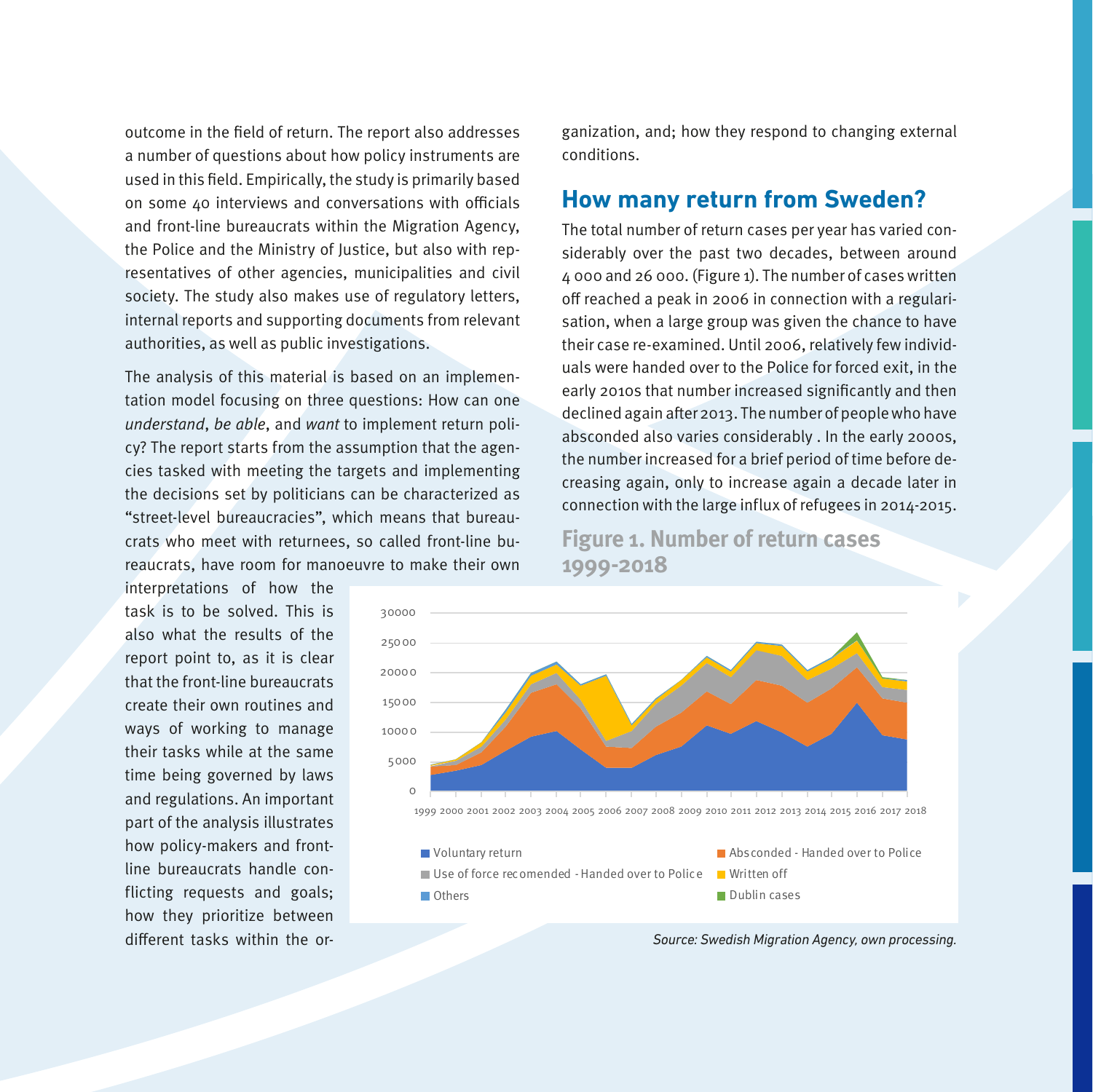outcome in the field of return. The report also addresses a number of questions about how policy instruments are used in this field. Empirically, the study is primarily based on some 40 interviews and conversations with officials and front-line bureaucrats within the Migration Agency, the Police and the Ministry of Justice, but also with representatives of other agencies, municipalities and civil society. The study also makes use of regulatory letters, internal reports and supporting documents from relevant authorities, as well as public investigations.

The analysis of this material is based on an implementation model focusing on three questions: How can one understand, be able, and want to implement return policy? The report starts from the assumption that the agencies tasked with meeting the targets and implementing the decisions set by politicians can be characterized as "street-level bureaucracies", which means that bureaucrats who meet with returnees, so called front-line bureaucrats, have room for manoeuvre to make their own

interpretations of how the task is to be solved. This is also what the results of the report point to, as it is clear that the front-line bureaucrats create their own routines and ways of working to manage their tasks while at the same time being governed by laws and regulations. An important part of the analysis illustrates how policy-makers and frontline bureaucrats handle conflicting requests and goals; how they prioritize between different tasks within the organization, and; how they respond to changing external conditions.

## **How many return from Sweden?**

The total number of return cases per year has varied considerably over the past two decades, between around 4 000 and 26 000. (Figure 1). The number of cases written off reached a peak in 2006 in connection with a regularisation, when a large group was given the chance to have their case re-examined. Until 2006, relatively few individuals were handed over to the Police for forced exit, in the early 2010s that number increased significantly and then declined again after 2013. The number of people who have absconded also varies considerably . In the early 2000s, the number increased for a brief period of time before decreasing again, only to increase again a decade later in connection with the large influx of refugees in 2014-2015.

**Figure 1. Number of return cases 1999-2018**



*Source: Swedish Migration Agency, own processing.*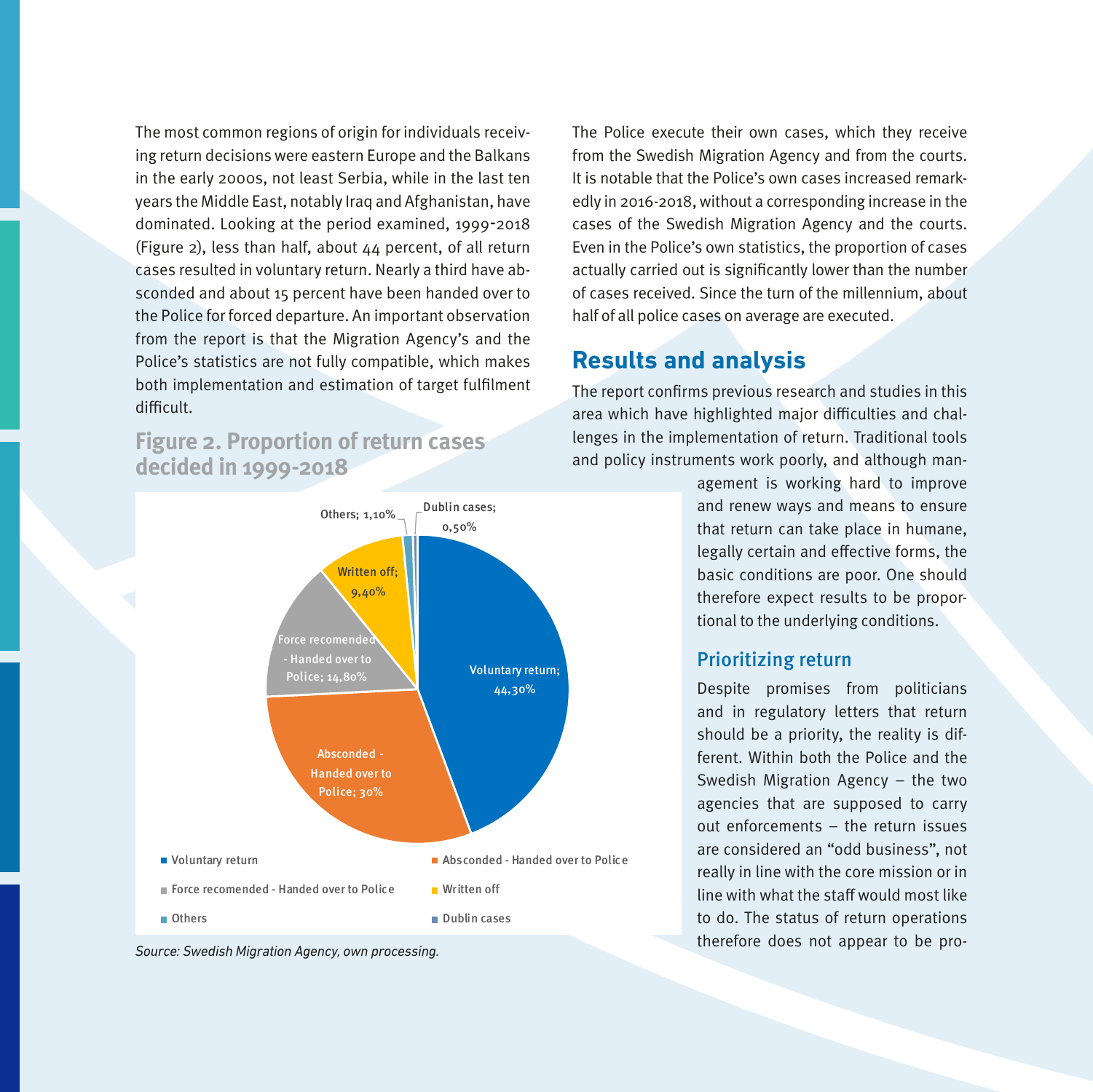The most common regions of origin for individuals receiving return decisions were eastern Europe and the Balkans in the early 2000s, not least Serbia, while in the last ten years the Middle East, notably Iraq and Afghanistan, have dominated. Looking at the period examined, 1999-2018 (Figure 2), less than half, about 44 percent, of all return cases resulted in voluntary return. Nearly a third have absconded and about 15 percent have been handed over to the Police for forced departure. An important observation from the report is that the Migration Agency's and the Police's statistics are not fully compatible, which makes both implementation and estimation of target fulfilment difficult.

# **Figure 2. Proportion of return cases decided in 1999-2018**





The Police execute their own cases, which they receive from the Swedish Migration Agency and from the courts. It is notable that the Police's own cases increased remarkedly in 2016-2018, without a corresponding increase in the cases of the Swedish Migration Agency and the courts. Even in the Police's own statistics, the proportion of cases actually carried out is significantly lower than the number of cases received. Since the turn of the millennium, about half of all police cases on average are executed.

# **Results and analysis**

The report confirms previous research and studies in this area which have highlighted major difficulties and challenges in the implementation of return. Traditional tools and policy instruments work poorly, and although man-

> agement is working hard to improve and renew ways and means to ensure that return can take place in humane, legally certain and effective forms, the basic conditions are poor. One should therefore expect results to be proportional to the underlying conditions.

#### Prioritizing return

Despite promises from politicians and in regulatory letters that return should be a priority, the reality is different. Within both the Police and the Swedish Migration Agency – the two agencies that are supposed to carry out enforcements – the return issues are considered an "odd business", not really in line with the core mission or in line with what the staff would most like to do. The status of return operations therefore does not appear to be pro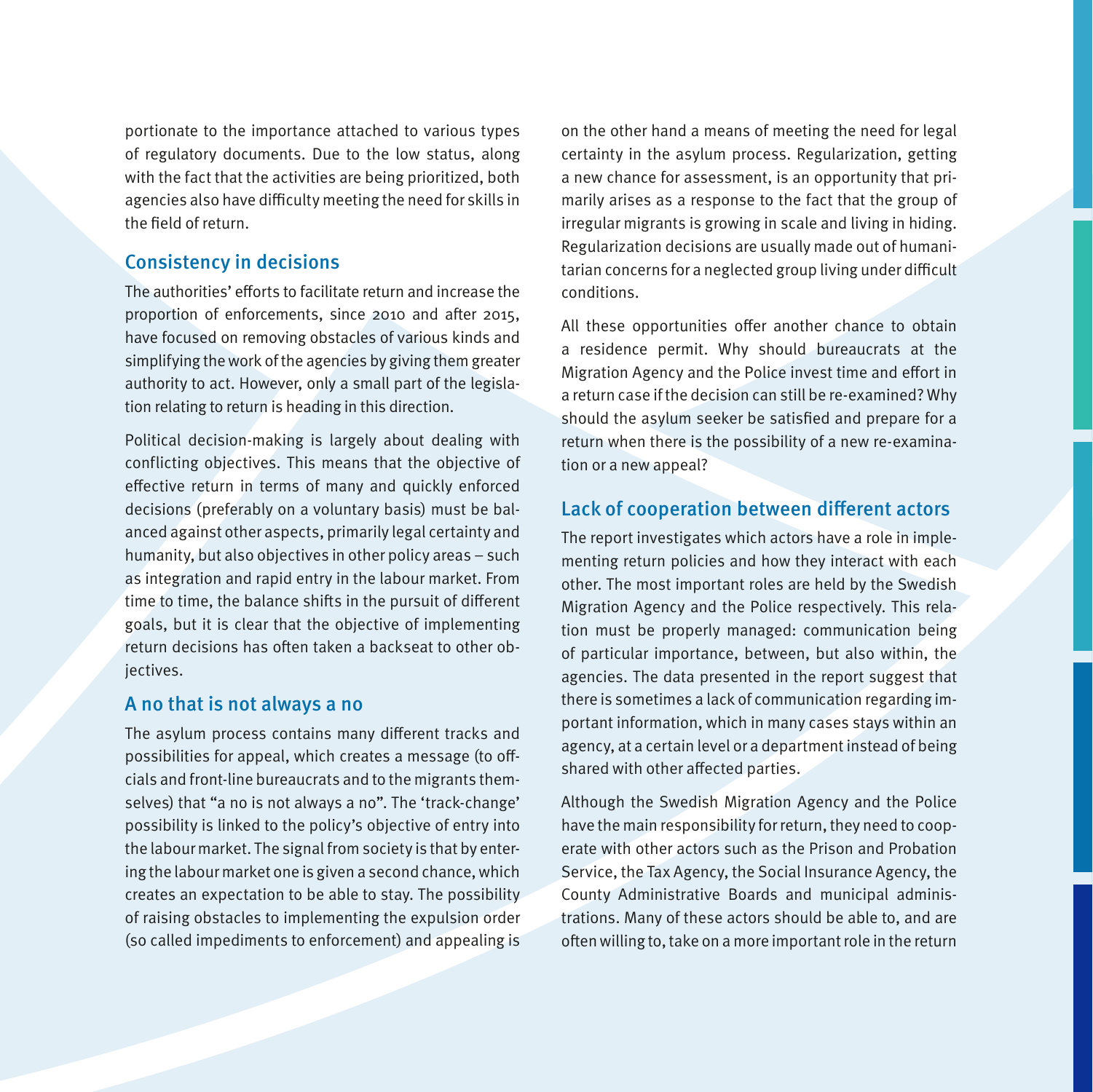portionate to the importance attached to various types of regulatory documents. Due to the low status, along with the fact that the activities are being prioritized, both agencies also have difficulty meeting the need for skills in the field of return.

#### Consistency in decisions

The authorities' efforts to facilitate return and increase the proportion of enforcements, since 2010 and after 2015, have focused on removing obstacles of various kinds and simplifying the work of the agencies by giving them greater authority to act. However, only a small part of the legislation relating to return is heading in this direction.

Political decision-making is largely about dealing with conflicting objectives. This means that the objective of effective return in terms of many and quickly enforced decisions (preferably on a voluntary basis) must be balanced against other aspects, primarily legal certainty and humanity, but also objectives in other policy areas – such as integration and rapid entry in the labour market. From time to time, the balance shifts in the pursuit of different goals, but it is clear that the objective of implementing return decisions has often taken a backseat to other objectives.

#### A no that is not always a no

The asylum process contains many different tracks and possibilities for appeal, which creates a message (to offcials and front-line bureaucrats and to the migrants themselves) that "a no is not always a no". The 'track-change' possibility is linked to the policy's objective of entry into the labour market. The signal from society is that by entering the labour market one is given a second chance, which creates an expectation to be able to stay. The possibility of raising obstacles to implementing the expulsion order (so called impediments to enforcement) and appealing is on the other hand a means of meeting the need for legal certainty in the asylum process. Regularization, getting a new chance for assessment, is an opportunity that primarily arises as a response to the fact that the group of irregular migrants is growing in scale and living in hiding. Regularization decisions are usually made out of humanitarian concerns for a neglected group living under difficult conditions.

All these opportunities offer another chance to obtain a residence permit. Why should bureaucrats at the Migration Agency and the Police invest time and effort in a return case if the decision can still be re-examined? Why should the asylum seeker be satisfied and prepare for a return when there is the possibility of a new re-examination or a new appeal?

### Lack of cooperation between different actors

The report investigates which actors have a role in implementing return policies and how they interact with each other. The most important roles are held by the Swedish Migration Agency and the Police respectively. This relation must be properly managed: communication being of particular importance, between, but also within, the agencies. The data presented in the report suggest that there is sometimes a lack of communication regarding important information, which in many cases stays within an agency, at a certain level or a department instead of being shared with other affected parties.

Although the Swedish Migration Agency and the Police have the main responsibility for return, they need to cooperate with other actors such as the Prison and Probation Service, the Tax Agency, the Social Insurance Agency, the County Administrative Boards and municipal administrations. Many of these actors should be able to, and are often willing to, take on a more important role in the return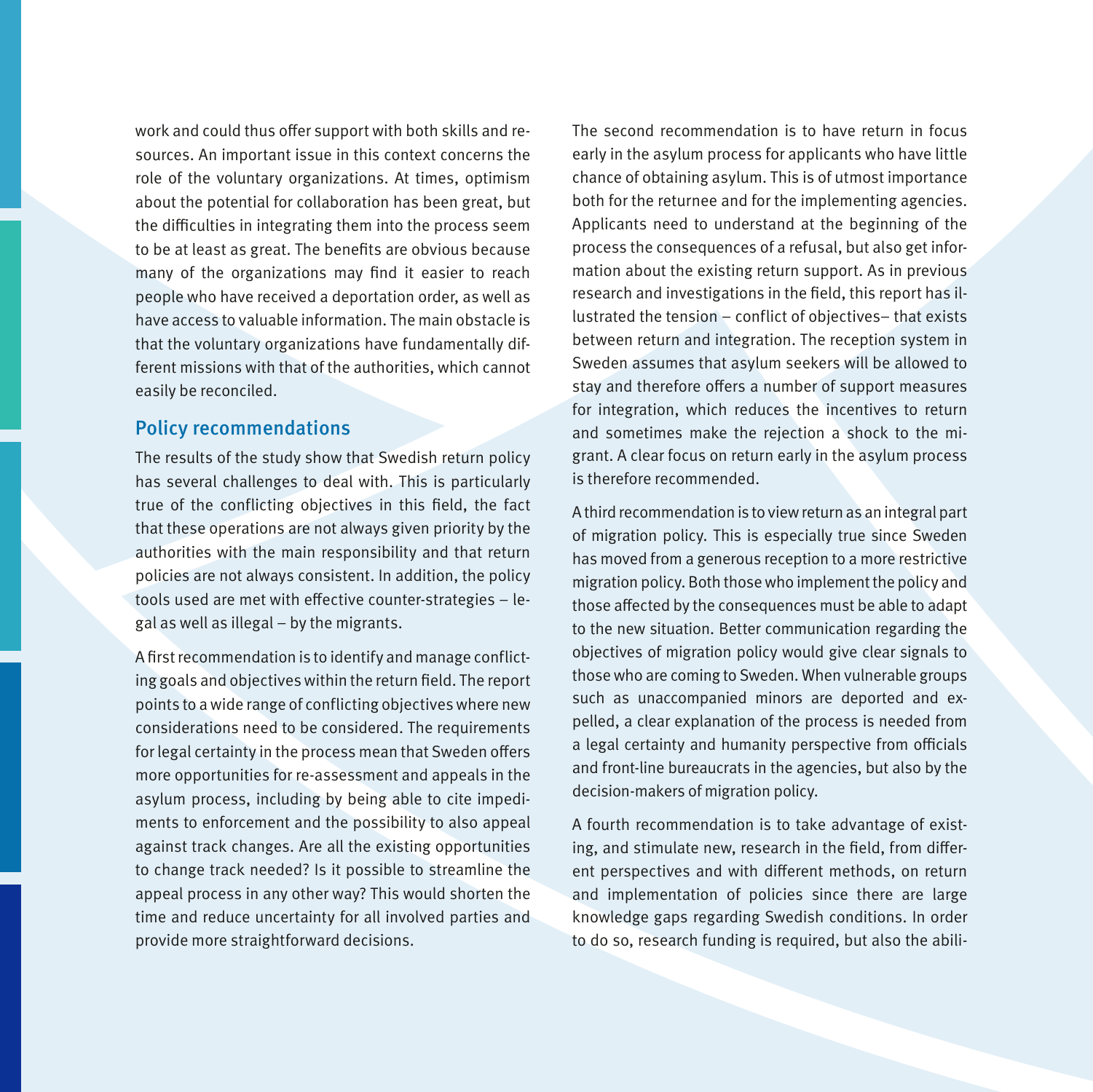work and could thus offer support with both skills and resources. An important issue in this context concerns the role of the voluntary organizations. At times, optimism about the potential for collaboration has been great, but the difficulties in integrating them into the process seem to be at least as great. The benefits are obvious because many of the organizations may find it easier to reach people who have received a deportation order, as well as have access to valuable information. The main obstacle is that the voluntary organizations have fundamentally different missions with that of the authorities, which cannot easily be reconciled.

#### Policy recommendations

The results of the study show that Swedish return policy has several challenges to deal with. This is particularly true of the conflicting objectives in this field, the fact that these operations are not always given priority by the authorities with the main responsibility and that return policies are not always consistent. In addition, the policy tools used are met with effective counter-strategies – legal as well as illegal – by the migrants.

A first recommendation is to identify and manage conflicting goals and objectives within the return field. The report points to a wide range of conflicting objectives where new considerations need to be considered. The requirements for legal certainty in the process mean that Sweden offers more opportunities for re-assessment and appeals in the asylum process, including by being able to cite impediments to enforcement and the possibility to also appeal against track changes. Are all the existing opportunities to change track needed? Is it possible to streamline the appeal process in any other way? This would shorten the time and reduce uncertainty for all involved parties and provide more straightforward decisions.

The second recommendation is to have return in focus early in the asylum process for applicants who have little chance of obtaining asylum. This is of utmost importance both for the returnee and for the implementing agencies. Applicants need to understand at the beginning of the process the consequences of a refusal, but also get information about the existing return support. As in previous research and investigations in the field, this report has illustrated the tension – conflict of objectives– that exists between return and integration. The reception system in Sweden assumes that asylum seekers will be allowed to stay and therefore offers a number of support measures for integration, which reduces the incentives to return and sometimes make the rejection a shock to the migrant. A clear focus on return early in the asylum process is therefore recommended.

A third recommendation is to view return as an integral part of migration policy. This is especially true since Sweden has moved from a generous reception to a more restrictive migration policy. Both those who implement the policy and those affected by the consequences must be able to adapt to the new situation. Better communication regarding the objectives of migration policy would give clear signals to those who are coming to Sweden. When vulnerable groups such as unaccompanied minors are deported and expelled, a clear explanation of the process is needed from a legal certainty and humanity perspective from officials and front-line bureaucrats in the agencies, but also by the decision-makers of migration policy.

A fourth recommendation is to take advantage of existing, and stimulate new, research in the field, from different perspectives and with different methods, on return and implementation of policies since there are large knowledge gaps regarding Swedish conditions. In order to do so, research funding is required, but also the abili